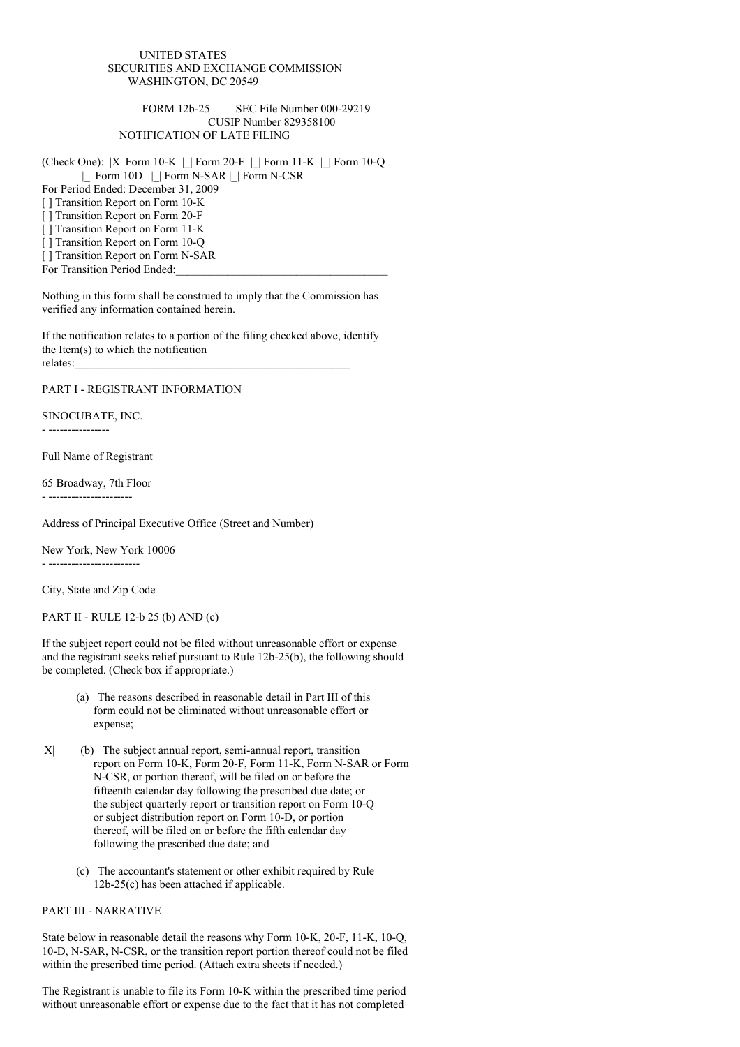## UNITED STATES SECURITIES AND EXCHANGE COMMISSION WASHINGTON, DC 20549

## FORM 12b-25 SEC File Number 000-29219 CUSIP Number 829358100 NOTIFICATION OF LATE FILING

(Check One): |X| Form 10-K |\_| Form 20-F |\_| Form 11-K |\_| Form 10-Q |\_| Form 10D |\_| Form N-SAR |\_| Form N-CSR

For Period Ended: December 31, 2009

[ ] Transition Report on Form 10-K

[ ] Transition Report on Form 20-F

[ ] Transition Report on Form 11-K

[ ] Transition Report on Form 10-Q

[ ] Transition Report on Form N-SAR

For Transition Period Ended:

Nothing in this form shall be construed to imply that the Commission has verified any information contained herein.

If the notification relates to a portion of the filing checked above, identify the Item(s) to which the notification relates:

PART I - REGISTRANT INFORMATION

SINOCUBATE, INC.

- ----------------

Full Name of Registrant

65 Broadway, 7th Floor - ----------------------

Address of Principal Executive Office (Street and Number)

New York, New York 10006 - ------------------------

City, State and Zip Code

PART II - RULE 12-b 25 (b) AND (c)

If the subject report could not be filed without unreasonable effort or expense and the registrant seeks relief pursuant to Rule 12b-25(b), the following should be completed. (Check box if appropriate.)

- (a) The reasons described in reasonable detail in Part III of this form could not be eliminated without unreasonable effort or expense;
- $|X|$  (b) The subject annual report, semi-annual report, transition report on Form 10-K, Form 20-F, Form 11-K, Form N-SAR or Form N-CSR, or portion thereof, will be filed on or before the fifteenth calendar day following the prescribed due date; or the subject quarterly report or transition report on Form 10-Q or subject distribution report on Form 10-D, or portion thereof, will be filed on or before the fifth calendar day following the prescribed due date; and
	- (c) The accountant's statement or other exhibit required by Rule 12b-25(c) has been attached if applicable.

## PART III - NARRATIVE

State below in reasonable detail the reasons why Form 10-K, 20-F, 11-K, 10-Q, 10-D, N-SAR, N-CSR, or the transition report portion thereof could not be filed within the prescribed time period. (Attach extra sheets if needed.)

The Registrant is unable to file its Form 10-K within the prescribed time period without unreasonable effort or expense due to the fact that it has not completed